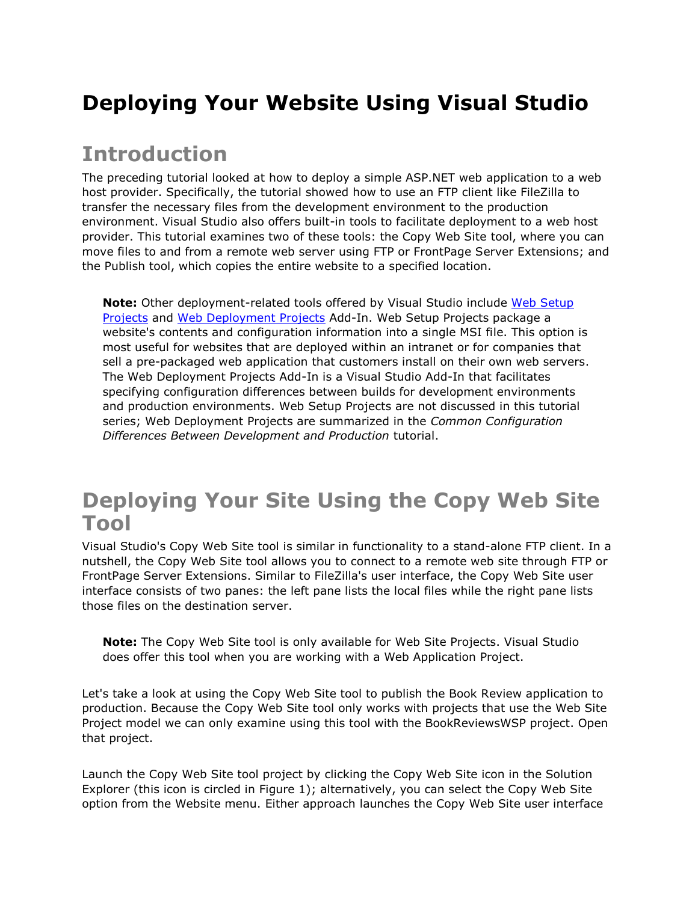# **Deploying Your Website Using Visual Studio**

### **Introduction**

The preceding tutorial looked at how to deploy a simple ASP.NET web application to a web host provider. Specifically, the tutorial showed how to use an FTP client like FileZilla to transfer the necessary files from the development environment to the production environment. Visual Studio also offers built-in tools to facilitate deployment to a web host provider. This tutorial examines two of these tools: the Copy Web Site tool, where you can move files to and from a remote web server using FTP or FrontPage Server Extensions; and the Publish tool, which copies the entire website to a specified location.

**Note:** Other deployment-related tools offered by Visual Studio include [Web Setup](http://msdn.microsoft.com/en-us/library/wx3b589t.aspx)  [Projects](http://msdn.microsoft.com/en-us/library/wx3b589t.aspx) and [Web Deployment Projects](http://www.microsoft.com/downloads/details.aspx?FamilyId=0AA30AE8-C73B-4BDD-BB1B-FE697256C459&displaylang=en) Add-In. Web Setup Projects package a website's contents and configuration information into a single MSI file. This option is most useful for websites that are deployed within an intranet or for companies that sell a pre-packaged web application that customers install on their own web servers. The Web Deployment Projects Add-In is a Visual Studio Add-In that facilitates specifying configuration differences between builds for development environments and production environments. Web Setup Projects are not discussed in this tutorial series; Web Deployment Projects are summarized in the *Common Configuration Differences Between Development and Production* tutorial.

### **Deploying Your Site Using the Copy Web Site Tool**

Visual Studio's Copy Web Site tool is similar in functionality to a stand-alone FTP client. In a nutshell, the Copy Web Site tool allows you to connect to a remote web site through FTP or FrontPage Server Extensions. Similar to FileZilla's user interface, the Copy Web Site user interface consists of two panes: the left pane lists the local files while the right pane lists those files on the destination server.

**Note:** The Copy Web Site tool is only available for Web Site Projects. Visual Studio does offer this tool when you are working with a Web Application Project.

Let's take a look at using the Copy Web Site tool to publish the Book Review application to production. Because the Copy Web Site tool only works with projects that use the Web Site Project model we can only examine using this tool with the BookReviewsWSP project. Open that project.

Launch the Copy Web Site tool project by clicking the Copy Web Site icon in the Solution Explorer (this icon is circled in Figure 1); alternatively, you can select the Copy Web Site option from the Website menu. Either approach launches the Copy Web Site user interface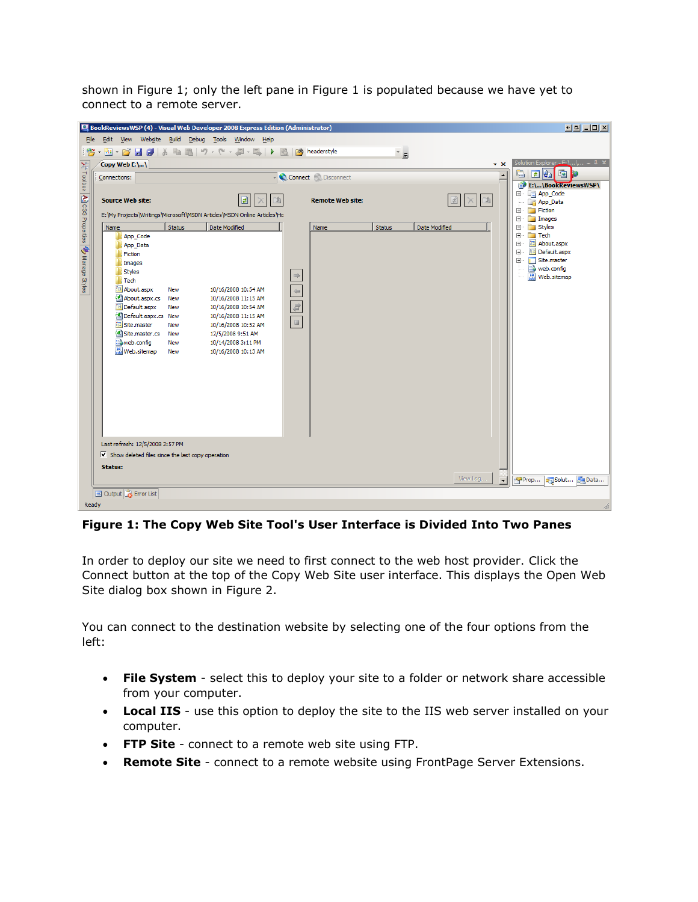shown in Figure 1; only the left pane in Figure 1 is populated because we have yet to connect to a remote server.

| BookReviewsWSP (4) - Visual Web Developer 2008 Express Edition (Administrator)                                                               |                                                                         |
|----------------------------------------------------------------------------------------------------------------------------------------------|-------------------------------------------------------------------------|
| File Edit View Website Build Debug Tools Window Help                                                                                         |                                                                         |
| :25 ・ 函 ・ 26 日 6   X 电 8   り - セ - 厚 - 国   ▶ 图   20 headerstyle<br>$\overline{z}$                                                            |                                                                         |
| Copy Web E:\\                                                                                                                                | Solution Explorer - F:\, . \, . , $\sim$ P $\times$<br>$\star$ $\times$ |
| X <sup>2</sup> Todbox<br>Connect Disconnect<br>Connections:                                                                                  | da op<br>e<br>$\overline{\phantom{a}}$                                  |
|                                                                                                                                              | E:\\BookReviewsWSP\<br><b>The App_Code</b><br>Ėŀ                        |
| 面<br>团<br><b>Source Web site:</b><br><b>Remote Web site:</b><br>Ø<br>$\times$                                                                | App_Data                                                                |
| $ \mathbf{A} $ CSS Properties $ \mathbf{A}\rangle$ Manage Styles<br>E: Wy Projects Writings Wicrosoft WSDN Articles WSDN Online Articles VHd | <b>Fiction</b><br>围<br><b>Images</b><br>由                               |
| Date Modified<br>Status<br>Date Modified<br><b>Status</b><br>Name<br>Name                                                                    | <b>Styles</b><br>Ė                                                      |
| App_Code                                                                                                                                     | $\Box$ Tech<br>Ė<br>About.aspx<br>Ė                                     |
| App_Data<br>Fiction                                                                                                                          | Default.aspx<br>由                                                       |
| Images                                                                                                                                       | Ė-<br>Site.master<br>web.config                                         |
| <b>Styles</b><br>$\Rightarrow$<br>Tech                                                                                                       | Meb.sitemap                                                             |
| $\Leftarrow$<br>iiii About.aspx<br>10/16/2008 10:54 AM<br>New                                                                                |                                                                         |
| <sup>生</sup> About.aspx.cs<br>New<br>10/16/2008 11:15 AM                                                                                     |                                                                         |
| $\overrightarrow{a}$<br>Default.aspx<br>New<br>10/16/2008 10:54 AM<br><sup>(8)</sup> Default, aspx, cs New<br>10/16/2008 11:15 AM            |                                                                         |
| $\equiv$<br><b>iii</b> Site.master<br>New<br>10/16/2008 10:52 AM                                                                             |                                                                         |
| <sup>of</sup> Site.master.cs<br>New<br>12/5/2008 9:51 AM<br>web.config<br>10/14/2008 3:11 PM<br><b>New</b>                                   |                                                                         |
| 益 Web.sitemap<br>10/16/2008 10:13 AM<br>New                                                                                                  |                                                                         |
|                                                                                                                                              |                                                                         |
|                                                                                                                                              |                                                                         |
|                                                                                                                                              |                                                                         |
|                                                                                                                                              |                                                                         |
|                                                                                                                                              |                                                                         |
|                                                                                                                                              |                                                                         |
|                                                                                                                                              |                                                                         |
| Last refresh: 12/5/2008 2:57 PM<br>$\overline{\mathbf{V}}$ Show deleted files since the last copy operation                                  |                                                                         |
| Status:                                                                                                                                      |                                                                         |
| View Log                                                                                                                                     | Solut                                                                   |
|                                                                                                                                              | <b>E</b> Data<br>Prop<br>$\overline{\phantom{a}}$                       |
| Output <b>R</b> Error List<br>Ready                                                                                                          |                                                                         |

**Figure 1: The Copy Web Site Tool's User Interface is Divided Into Two Panes**

In order to deploy our site we need to first connect to the web host provider. Click the Connect button at the top of the Copy Web Site user interface. This displays the Open Web Site dialog box shown in Figure 2.

You can connect to the destination website by selecting one of the four options from the left:

- **File System** select this to deploy your site to a folder or network share accessible from your computer.
- **Local IIS** use this option to deploy the site to the IIS web server installed on your computer.
- **FTP Site** connect to a remote web site using FTP.
- **Remote Site** connect to a remote website using FrontPage Server Extensions.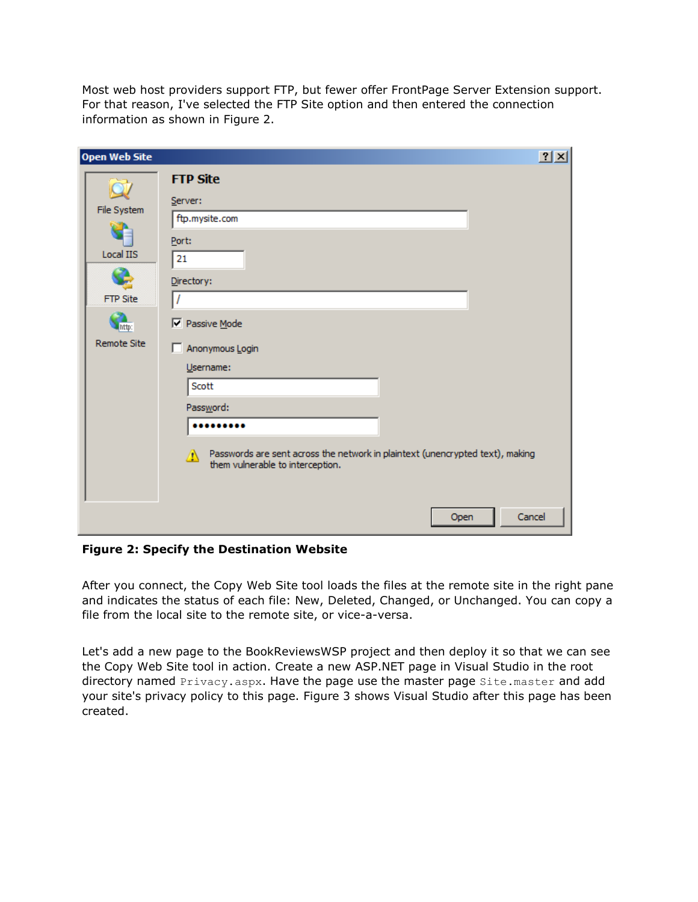Most web host providers support FTP, but fewer offer FrontPage Server Extension support. For that reason, I've selected the FTP Site option and then entered the connection information as shown in Figure 2.

**Figure 2: Specify the Destination Website**

After you connect, the Copy Web Site tool loads the files at the remote site in the right pane and indicates the status of each file: New, Deleted, Changed, or Unchanged. You can copy a file from the local site to the remote site, or vice-a-versa.

Let's add a new page to the BookReviewsWSP project and then deploy it so that we can see the Copy Web Site tool in action. Create a new ASP.NET page in Visual Studio in the root directory named Privacy.aspx. Have the page use the master page Site.master and add your site's privacy policy to this page. Figure 3 shows Visual Studio after this page has been created.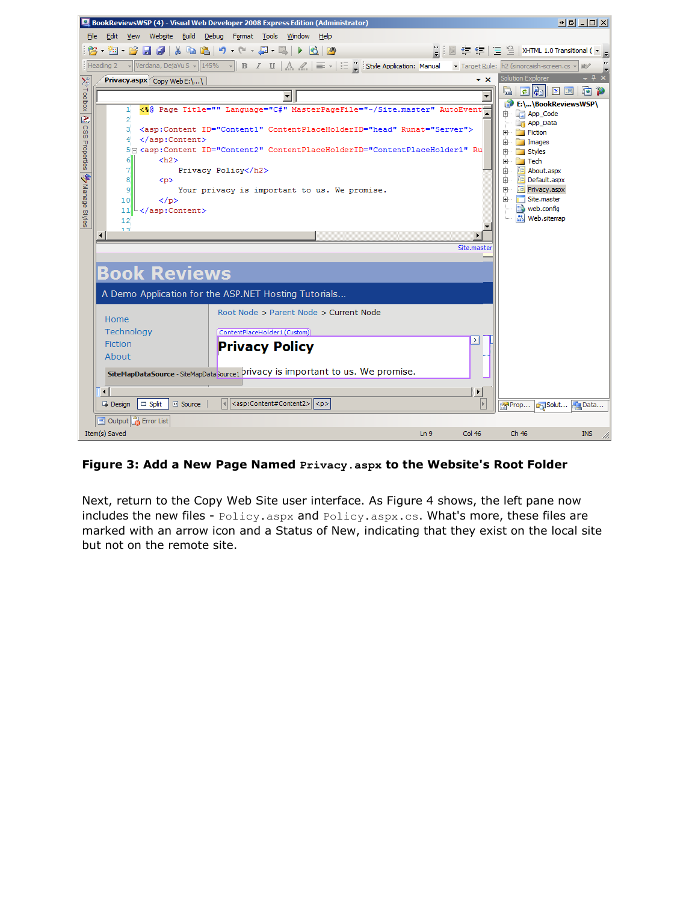|                                                |                        |                      |                            |                            |  |                              |                                                                                                         | BookReviewsWSP (4) - Visual Web Developer 2008 Express Edition (Administrator) |                                                                                      |     |                                                                                                                                                                                                                                                                                                                                                                                                                                       |                                   |                           | <u>한번 리미치</u>                                |
|------------------------------------------------|------------------------|----------------------|----------------------------|----------------------------|--|------------------------------|---------------------------------------------------------------------------------------------------------|--------------------------------------------------------------------------------|--------------------------------------------------------------------------------------|-----|---------------------------------------------------------------------------------------------------------------------------------------------------------------------------------------------------------------------------------------------------------------------------------------------------------------------------------------------------------------------------------------------------------------------------------------|-----------------------------------|---------------------------|----------------------------------------------|
| File                                           |                        |                      |                            |                            |  |                              | Edit View Website Build Debug Format Tools Window Help                                                  |                                                                                |                                                                                      |     |                                                                                                                                                                                                                                                                                                                                                                                                                                       |                                   |                           |                                              |
|                                                |                        |                      |                            |                            |  |                              |                                                                                                         |                                                                                |                                                                                      |     |                                                                                                                                                                                                                                                                                                                                                                                                                                       |                                   |                           | 2   ■ 建建  Ξ 을   XHTML 1.0 Transitional ( ▼ 。 |
|                                                |                        |                      |                            |                            |  |                              |                                                                                                         |                                                                                |                                                                                      |     | $\frac{1}{2}$ Heading 2 $\rightarrow$ $\sqrt{\frac{1}{2}$ Verdana, DejaVu S $\rightarrow$ $\sqrt{\frac{145}{13}}$ $\rightarrow$ $\sqrt{\frac{1}{2}}$ $\rightarrow$ $\sqrt{\frac{1}{2}}$ $\rightarrow$ $\sqrt{\frac{1}{2}}$ $\rightarrow$ $\sqrt{\frac{1}{2}}$ $\rightarrow$ $\sqrt{\frac{1}{2}}$ $\rightarrow$ $\sqrt{\frac{1}{2}}$ $\rightarrow$ $\sqrt{\frac{1}{2}}$ $\rightarrow$ $\sqrt{\frac{1}{2}}$ $\rightarrow$ $\sqrt{\frac$ |                                   |                           |                                              |
| ×                                              |                        |                      |                            | Privacy.aspx Copy Web E:\\ |  |                              |                                                                                                         |                                                                                |                                                                                      |     | $\star$ x                                                                                                                                                                                                                                                                                                                                                                                                                             | <b>Solution Explorer</b>          |                           | – 4 x                                        |
| Toolbox   A 3 CSS Properties   3 Manage Styles |                        |                      |                            |                            |  |                              |                                                                                                         |                                                                                |                                                                                      |     |                                                                                                                                                                                                                                                                                                                                                                                                                                       |                                   | & 0 0 1 0 1 0 1 0 1 0     |                                              |
|                                                |                        | 11                   |                            |                            |  |                              |                                                                                                         |                                                                                |                                                                                      |     | <%8 Page Title="" Language="C#" MasterPageFile="~/Site.master" AutoEvent                                                                                                                                                                                                                                                                                                                                                              | 由 <sub>·</sub> <b>la App_Code</b> | E:\\BookReviewsWSP\       |                                              |
|                                                |                        | $\overline{2}$<br>зі |                            |                            |  |                              |                                                                                                         |                                                                                | <asp:content contentplaceholderid="head" id="Content1" runat="Server"></asp:content> |     |                                                                                                                                                                                                                                                                                                                                                                                                                                       |                                   | App_Data                  |                                              |
|                                                |                        | 41                   |                            |                            |  |                              |                                                                                                         |                                                                                |                                                                                      |     |                                                                                                                                                                                                                                                                                                                                                                                                                                       | Fiction<br>E Images               |                           |                                              |
|                                                |                        | 6                    |                            | $<$ h2>                    |  |                              |                                                                                                         |                                                                                |                                                                                      |     | 5 = <asp:content contentplaceholderid="ContentPlaceHolder1" id="Content2" ru<="" td=""><td><b>Styles</b></td><td></td><td></td></asp:content>                                                                                                                                                                                                                                                                                         | <b>Styles</b>                     |                           |                                              |
|                                                |                        | 7                    |                            |                            |  | Privacy Policy               |                                                                                                         |                                                                                |                                                                                      |     |                                                                                                                                                                                                                                                                                                                                                                                                                                       | <b>Tech</b><br>Fl…<br>ஈ           | ia About.aspx             |                                              |
|                                                |                        | 8                    | < p                        |                            |  |                              |                                                                                                         |                                                                                |                                                                                      |     |                                                                                                                                                                                                                                                                                                                                                                                                                                       |                                   | 由 <b>iii</b> Default.aspx |                                              |
|                                                |                        | 9<br>10              |                            | $\langle$ /p>              |  |                              |                                                                                                         |                                                                                | Your privacy is important to us. We promise.                                         |     |                                                                                                                                                                                                                                                                                                                                                                                                                                       | Fig. 5ite.master                  | i Privacy.aspx            |                                              |
|                                                |                        | 11                   |                            |                            |  |                              |                                                                                                         |                                                                                |                                                                                      |     |                                                                                                                                                                                                                                                                                                                                                                                                                                       |                                   | web.config                |                                              |
|                                                |                        | 12<br>12             |                            |                            |  |                              |                                                                                                         |                                                                                |                                                                                      |     |                                                                                                                                                                                                                                                                                                                                                                                                                                       |                                   | … 為 Web.sitemap           |                                              |
|                                                | $\blacktriangleleft$   |                      |                            |                            |  |                              |                                                                                                         |                                                                                |                                                                                      |     |                                                                                                                                                                                                                                                                                                                                                                                                                                       |                                   |                           |                                              |
|                                                |                        |                      |                            |                            |  |                              |                                                                                                         |                                                                                |                                                                                      |     | Site.maste                                                                                                                                                                                                                                                                                                                                                                                                                            |                                   |                           |                                              |
|                                                |                        |                      |                            |                            |  |                              |                                                                                                         |                                                                                |                                                                                      |     |                                                                                                                                                                                                                                                                                                                                                                                                                                       |                                   |                           |                                              |
|                                                |                        |                      |                            | <b>Book Reviews</b>        |  |                              |                                                                                                         |                                                                                |                                                                                      |     |                                                                                                                                                                                                                                                                                                                                                                                                                                       |                                   |                           |                                              |
|                                                |                        |                      |                            |                            |  |                              |                                                                                                         | A Demo Application for the ASP.NET Hosting Tutorials                           |                                                                                      |     |                                                                                                                                                                                                                                                                                                                                                                                                                                       |                                   |                           |                                              |
|                                                | Home                   |                      |                            |                            |  |                              |                                                                                                         |                                                                                | Root Node > Parent Node > Current Node                                               |     |                                                                                                                                                                                                                                                                                                                                                                                                                                       |                                   |                           |                                              |
|                                                |                        | Technology           |                            |                            |  | ContentPlaceHolder1 (Custom) |                                                                                                         |                                                                                |                                                                                      |     |                                                                                                                                                                                                                                                                                                                                                                                                                                       |                                   |                           |                                              |
|                                                | <b>Fiction</b>         |                      |                            |                            |  | <b>Privacy Policy</b>        |                                                                                                         |                                                                                |                                                                                      |     |                                                                                                                                                                                                                                                                                                                                                                                                                                       |                                   |                           |                                              |
|                                                | About                  |                      |                            |                            |  |                              |                                                                                                         |                                                                                |                                                                                      |     |                                                                                                                                                                                                                                                                                                                                                                                                                                       |                                   |                           |                                              |
|                                                |                        |                      |                            |                            |  |                              |                                                                                                         |                                                                                | SiteMapDataSource - SiteMapData Source1 privacy is important to us. We promise.      |     |                                                                                                                                                                                                                                                                                                                                                                                                                                       |                                   |                           |                                              |
|                                                |                        |                      |                            |                            |  |                              |                                                                                                         |                                                                                |                                                                                      |     |                                                                                                                                                                                                                                                                                                                                                                                                                                       |                                   |                           |                                              |
|                                                | $\left  \cdot \right $ |                      |                            |                            |  |                              |                                                                                                         |                                                                                |                                                                                      |     | ▸                                                                                                                                                                                                                                                                                                                                                                                                                                     |                                   |                           |                                              |
|                                                | <b>Design</b>          |                      | $\Box$ Split               | <sup>2</sup> Source        |  |                              | $\vert \cdot \vert$ <asp:content#content2><math>\vert \cdot \vert</math> <p></p></asp:content#content2> |                                                                                |                                                                                      |     | $\vert$                                                                                                                                                                                                                                                                                                                                                                                                                               | Prop                              | Solut <b>A Data</b>       |                                              |
|                                                |                        |                      | Output <b>B</b> Error List |                            |  |                              |                                                                                                         |                                                                                |                                                                                      |     |                                                                                                                                                                                                                                                                                                                                                                                                                                       |                                   |                           |                                              |
|                                                | Item(s) Saved          |                      |                            |                            |  |                              |                                                                                                         |                                                                                |                                                                                      | Ln9 | Col 46                                                                                                                                                                                                                                                                                                                                                                                                                                | Ch 46                             |                           | <b>INS</b>                                   |

#### **Figure 3: Add a New Page Named Privacy.aspx to the Website's Root Folder**

Next, return to the Copy Web Site user interface. As Figure 4 shows, the left pane now includes the new files - Policy.aspx and Policy.aspx.cs. What's more, these files are marked with an arrow icon and a Status of New, indicating that they exist on the local site but not on the remote site.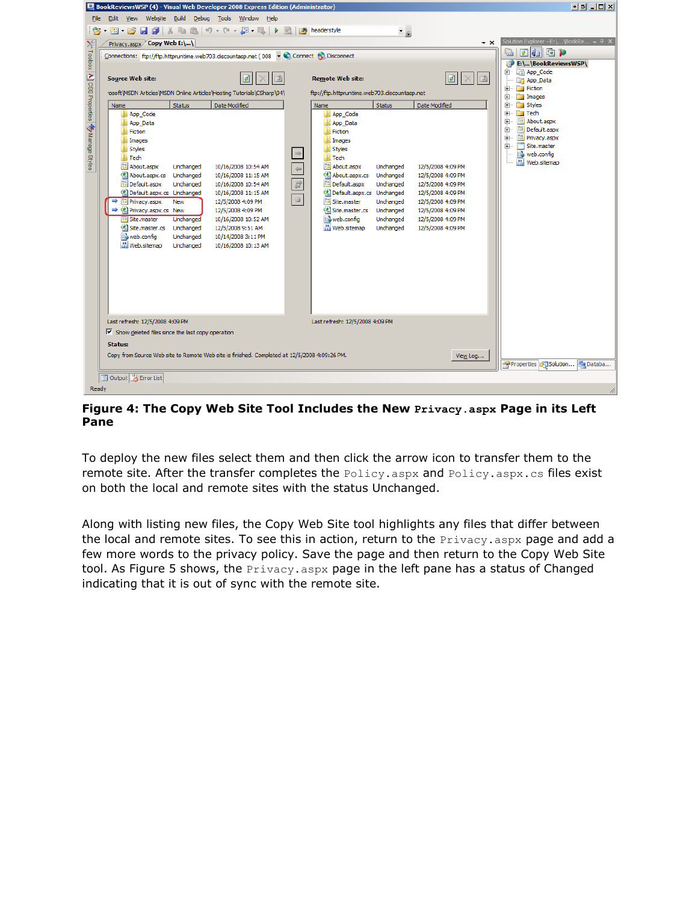

**Figure 4: The Copy Web Site Tool Includes the New Privacy.aspx Page in its Left Pane**

To deploy the new files select them and then click the arrow icon to transfer them to the remote site. After the transfer completes the Policy.aspx and Policy.aspx.cs files exist on both the local and remote sites with the status Unchanged.

Along with listing new files, the Copy Web Site tool highlights any files that differ between the local and remote sites. To see this in action, return to the Privacy. aspx page and add a few more words to the privacy policy. Save the page and then return to the Copy Web Site tool. As Figure 5 shows, the  $Privacy.aspx$  page in the left pane has a status of Changed indicating that it is out of sync with the remote site.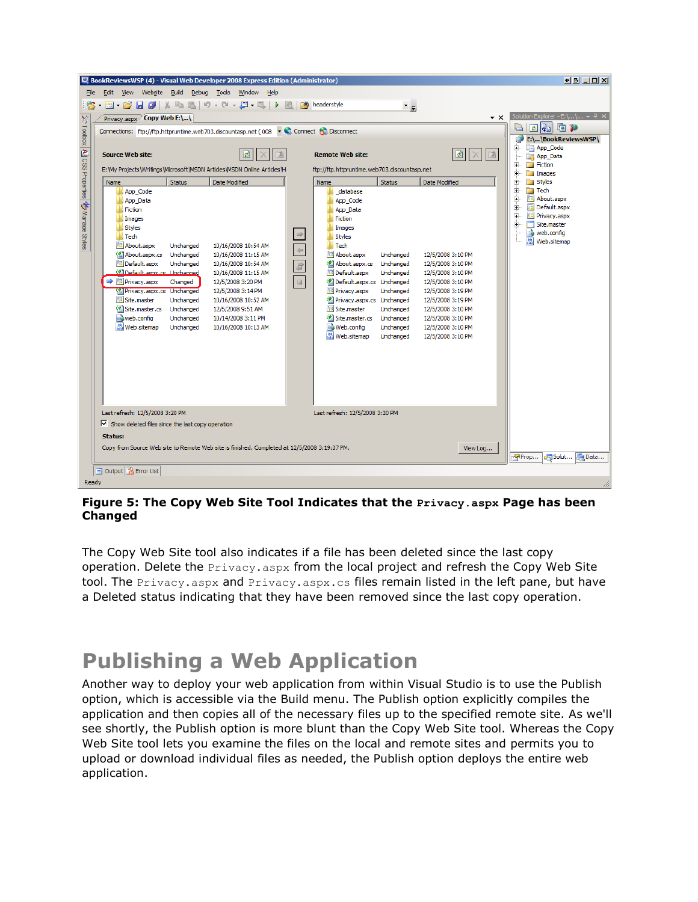|                                                                                                                                                                                                                                                                                                                             | BookReviewsWSP (4) - Visual Web Developer 2008 Express Edition (Administrator)               |                                            |               |                                              |                        |                                        | $\underline{\bullet}\underline{\blacksquare}\underline{\blacksquare}\underline{\blacksquare}\underline{\blacksquare}\underline{\blacksquare}\underline{\blacksquare}$ |  |  |
|-----------------------------------------------------------------------------------------------------------------------------------------------------------------------------------------------------------------------------------------------------------------------------------------------------------------------------|----------------------------------------------------------------------------------------------|--------------------------------------------|---------------|----------------------------------------------|------------------------|----------------------------------------|-----------------------------------------------------------------------------------------------------------------------------------------------------------------------|--|--|
| File Edit View<br>Website<br>Build<br>Debug Tools Window Help                                                                                                                                                                                                                                                               |                                                                                              |                                            |               |                                              |                        |                                        |                                                                                                                                                                       |  |  |
| $\mathbf{E} \cdot \mathbf{E} \cdot \mathbf{E} \cdot \mathbf{E} \cdot \mathbf{H} \cdot \mathbf{E} \mid \mathbf{A} \cdot \mathbf{E} \cdot \mathbf{E} \mid \mathbf{A} \cdot \mathbf{E} \cdot \mathbf{E} \cdot \mathbf{E} \mid \mathbf{A} \cdot \mathbf{E} \mid \mathbf{A} \cdot \mathbf{E} \cdot \mathbf{E}$<br>$\overline{z}$ |                                                                                              |                                            |               |                                              |                        |                                        |                                                                                                                                                                       |  |  |
|                                                                                                                                                                                                                                                                                                                             | Privacy.aspx Copy Web E:\\                                                                   |                                            |               |                                              |                        | $\mathbf{v} \times$                    | Solution Explorer - E:\\ $\arrow$ $\frac{1}{7}$ $\times$                                                                                                              |  |  |
|                                                                                                                                                                                                                                                                                                                             | Connections: ftp://ftp.httpruntime.web703.discountasp.net (008 v Connect & Disconnect        | e de d                                     |               |                                              |                        |                                        |                                                                                                                                                                       |  |  |
|                                                                                                                                                                                                                                                                                                                             |                                                                                              |                                            |               |                                              |                        |                                        | E:\\BookReviewsWSP\                                                                                                                                                   |  |  |
|                                                                                                                                                                                                                                                                                                                             | <b>Source Web site:</b>                                                                      |                                            |               | <b>Remote Web site:</b>                      |                        | $\frac{1}{2}$ $\times$ $\frac{1}{2}$   | <b>RET App_Code</b><br>Ėŀ<br>App_Data                                                                                                                                 |  |  |
| $\approx$ Toolbox $\boxed{\mathbf{A}}$ CSS Properties                                                                                                                                                                                                                                                                       | E: Wy Projects Writings Wicrosoft WSDN Articles WSDN Online Articles \H                      |                                            |               | ftp://ftp.httpruntime.web703.discountasp.net |                        |                                        | <b>Fiction</b><br><b>+</b>                                                                                                                                            |  |  |
|                                                                                                                                                                                                                                                                                                                             | <b>Status</b><br>Name                                                                        | Date Modified                              |               | Name                                         | <b>Status</b>          | Date Modified                          | Ėŀ<br><b>Images</b><br>Ė<br>Styles                                                                                                                                    |  |  |
|                                                                                                                                                                                                                                                                                                                             | App_Code                                                                                     |                                            |               | database                                     |                        |                                        | Ėŀ<br><b>Tech</b>                                                                                                                                                     |  |  |
|                                                                                                                                                                                                                                                                                                                             | App_Data                                                                                     |                                            |               | App_Code                                     |                        |                                        | iii About.aspx<br>由<br>≐⊡<br>iii Default.aspx                                                                                                                         |  |  |
|                                                                                                                                                                                                                                                                                                                             | Fiction                                                                                      |                                            |               | App Data<br>Fiction                          |                        |                                        | Ė⊢<br>iii Privacy.aspx                                                                                                                                                |  |  |
|                                                                                                                                                                                                                                                                                                                             | Images<br><b>Styles</b>                                                                      |                                            |               | <b>Images</b>                                |                        |                                        | Ė-<br>Site.master                                                                                                                                                     |  |  |
| onanage Styles                                                                                                                                                                                                                                                                                                              | <b>N</b> Tech                                                                                |                                            | $\Rightarrow$ | <b>Styles</b>                                |                        |                                        | web.config<br>然 Web.sitemap                                                                                                                                           |  |  |
|                                                                                                                                                                                                                                                                                                                             | <b>iiii</b> About.aspx<br>Unchanged                                                          | 10/16/2008 10:54 AM                        | $\Leftarrow$  | <b>Tech</b>                                  |                        |                                        |                                                                                                                                                                       |  |  |
|                                                                                                                                                                                                                                                                                                                             | 예 About.aspx.cs<br>Unchanged                                                                 | 10/16/2008 11:15 AM                        |               | iii About.aspx                               | Unchanged              | 12/5/2008 3:10 PM                      |                                                                                                                                                                       |  |  |
|                                                                                                                                                                                                                                                                                                                             | <b>idefault.aspx</b><br>Unchanged<br><sup>of</sup> Default, aspx.cs Linchanged               | 10/16/2008 10:54 AM<br>10/16/2008 11:15 AM | 宣             | 예 About.aspx.cs<br>iii Default.aspx          | Unchanged<br>Unchanged | 12/5/2008 3:10 PM<br>12/5/2008 3:10 PM |                                                                                                                                                                       |  |  |
|                                                                                                                                                                                                                                                                                                                             | → <b>El</b> Privacy.aspx<br>Changed                                                          | 12/5/2008 3:20 PM                          | $\equiv$      | 셸 Default.aspx.cs Unchanged                  |                        | 12/5/2008 3:10 PM                      |                                                                                                                                                                       |  |  |
|                                                                                                                                                                                                                                                                                                                             | <sup>of</sup> Privacy.aspx.cs Unchanged                                                      | 12/5/2008 3:14 PM                          |               | <b>iii</b> Privacy.aspx                      | Unchanged              | 12/5/2008 3:19 PM                      |                                                                                                                                                                       |  |  |
|                                                                                                                                                                                                                                                                                                                             | <b>iiii</b> Site.master<br>Unchanged                                                         | 10/16/2008 10:52 AM                        |               | ell Privacy.aspx.cs Unchanged                |                        | 12/5/2008 3:19 PM                      |                                                                                                                                                                       |  |  |
|                                                                                                                                                                                                                                                                                                                             | <sup>of</sup> Site.master.cs<br>Unchanged<br>web.config<br>Unchanged                         | 12/5/2008 9:51 AM<br>10/14/2008 3:11 PM    |               | <b>iiii</b> Site.master<br>예 Site.master.cs  | Unchanged<br>Unchanged | 12/5/2008 3:10 PM<br>12/5/2008 3:10 PM |                                                                                                                                                                       |  |  |
|                                                                                                                                                                                                                                                                                                                             | 益 Web.sitemap<br>Unchanged                                                                   | 10/16/2008 10:13 AM                        |               | Web.config                                   | Unchanged              | 12/5/2008 3:10 PM                      |                                                                                                                                                                       |  |  |
|                                                                                                                                                                                                                                                                                                                             |                                                                                              |                                            |               | 為 Web.sitemap                                | Unchanged              | 12/5/2008 3:10 PM                      |                                                                                                                                                                       |  |  |
|                                                                                                                                                                                                                                                                                                                             |                                                                                              |                                            |               |                                              |                        |                                        |                                                                                                                                                                       |  |  |
|                                                                                                                                                                                                                                                                                                                             |                                                                                              |                                            |               |                                              |                        |                                        |                                                                                                                                                                       |  |  |
|                                                                                                                                                                                                                                                                                                                             |                                                                                              |                                            |               |                                              |                        |                                        |                                                                                                                                                                       |  |  |
|                                                                                                                                                                                                                                                                                                                             |                                                                                              |                                            |               |                                              |                        |                                        |                                                                                                                                                                       |  |  |
|                                                                                                                                                                                                                                                                                                                             |                                                                                              |                                            |               |                                              |                        |                                        |                                                                                                                                                                       |  |  |
|                                                                                                                                                                                                                                                                                                                             |                                                                                              |                                            |               |                                              |                        |                                        |                                                                                                                                                                       |  |  |
|                                                                                                                                                                                                                                                                                                                             | Last refresh: 12/5/2008 3:20 PM                                                              |                                            |               | Last refresh: 12/5/2008 3:20 PM              |                        |                                        |                                                                                                                                                                       |  |  |
|                                                                                                                                                                                                                                                                                                                             | $\triangledown$ Show deleted files since the last copy operation                             |                                            |               |                                              |                        |                                        |                                                                                                                                                                       |  |  |
|                                                                                                                                                                                                                                                                                                                             | <b>Status:</b>                                                                               |                                            |               |                                              |                        |                                        |                                                                                                                                                                       |  |  |
|                                                                                                                                                                                                                                                                                                                             | Copy from Source Web site to Remote Web site is finished. Completed at 12/5/2008 3:19:07 PM. |                                            |               |                                              |                        | View Log                               |                                                                                                                                                                       |  |  |
|                                                                                                                                                                                                                                                                                                                             |                                                                                              |                                            |               |                                              |                        |                                        | Solut <b>All Data</b><br>Prop                                                                                                                                         |  |  |
|                                                                                                                                                                                                                                                                                                                             | Output <b>B</b> Error List                                                                   |                                            |               |                                              |                        |                                        |                                                                                                                                                                       |  |  |
| Ready                                                                                                                                                                                                                                                                                                                       |                                                                                              |                                            |               |                                              |                        |                                        | h                                                                                                                                                                     |  |  |

#### **Figure 5: The Copy Web Site Tool Indicates that the Privacy.aspx Page has been Changed**

The Copy Web Site tool also indicates if a file has been deleted since the last copy operation. Delete the  $Privacy.aspx$  from the local project and refresh the Copy Web Site tool. The Privacy.aspx and Privacy.aspx.cs files remain listed in the left pane, but have a Deleted status indicating that they have been removed since the last copy operation.

# **Publishing a Web Application**

Another way to deploy your web application from within Visual Studio is to use the Publish option, which is accessible via the Build menu. The Publish option explicitly compiles the application and then copies all of the necessary files up to the specified remote site. As we'll see shortly, the Publish option is more blunt than the Copy Web Site tool. Whereas the Copy Web Site tool lets you examine the files on the local and remote sites and permits you to upload or download individual files as needed, the Publish option deploys the entire web application.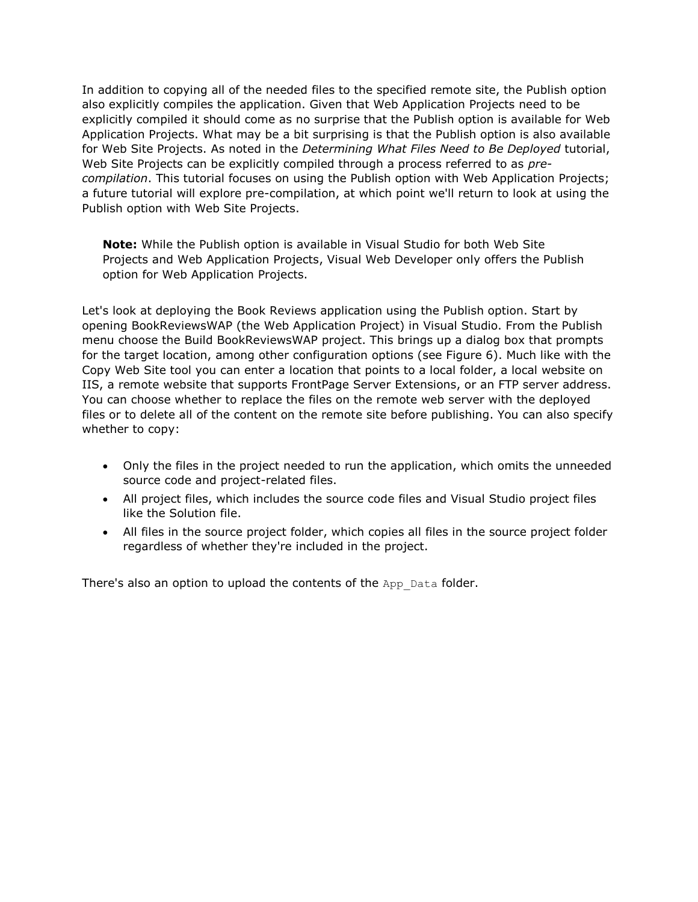In addition to copying all of the needed files to the specified remote site, the Publish option also explicitly compiles the application. Given that Web Application Projects need to be explicitly compiled it should come as no surprise that the Publish option is available for Web Application Projects. What may be a bit surprising is that the Publish option is also available for Web Site Projects. As noted in the *Determining What Files Need to Be Deployed* tutorial, Web Site Projects can be explicitly compiled through a process referred to as *precompilation*. This tutorial focuses on using the Publish option with Web Application Projects; a future tutorial will explore pre-compilation, at which point we'll return to look at using the Publish option with Web Site Projects.

**Note:** While the Publish option is available in Visual Studio for both Web Site Projects and Web Application Projects, Visual Web Developer only offers the Publish option for Web Application Projects.

Let's look at deploying the Book Reviews application using the Publish option. Start by opening BookReviewsWAP (the Web Application Project) in Visual Studio. From the Publish menu choose the Build BookReviewsWAP project. This brings up a dialog box that prompts for the target location, among other configuration options (see Figure 6). Much like with the Copy Web Site tool you can enter a location that points to a local folder, a local website on IIS, a remote website that supports FrontPage Server Extensions, or an FTP server address. You can choose whether to replace the files on the remote web server with the deployed files or to delete all of the content on the remote site before publishing. You can also specify whether to copy:

- Only the files in the project needed to run the application, which omits the unneeded source code and project-related files.
- All project files, which includes the source code files and Visual Studio project files like the Solution file.
- All files in the source project folder, which copies all files in the source project folder regardless of whether they're included in the project.

There's also an option to upload the contents of the App Data folder.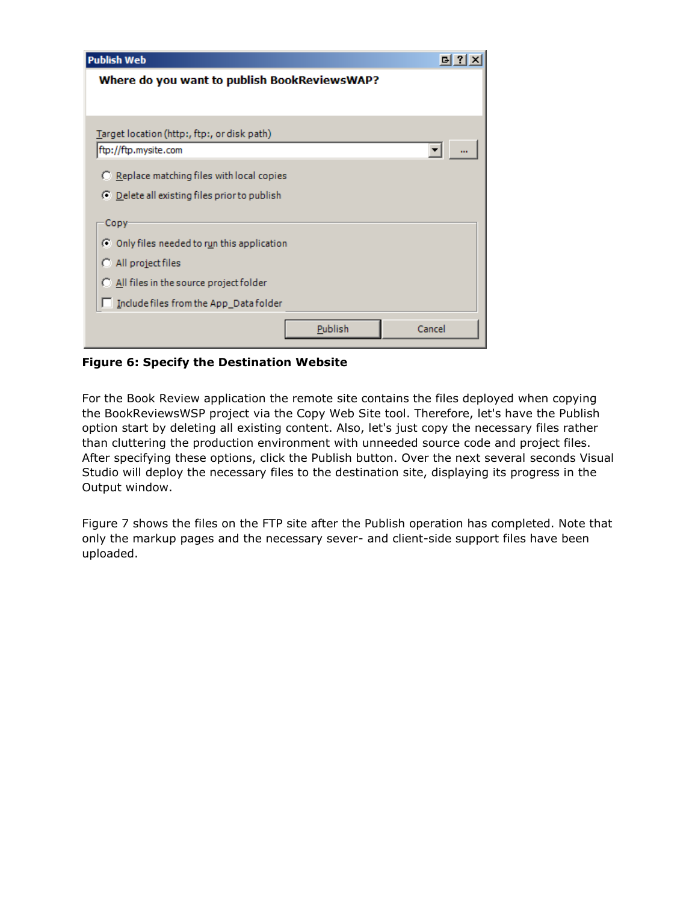| <b>Publish Web</b>                                                  |        |
|---------------------------------------------------------------------|--------|
| Where do you want to publish BookReviewsWAP?                        |        |
|                                                                     |        |
|                                                                     |        |
| Target location (http:, ftp:, or disk path)<br>ftp://ftp.mysite.com |        |
|                                                                     |        |
| $\bigcirc$ Replace matching files with local copies                 |        |
| ○ Delete all existing files prior to publish                        |        |
|                                                                     |        |
| Copy-                                                               |        |
| C Only files needed to run this application                         |        |
| C All project files                                                 |        |
| C All files in the source project folder                            |        |
| Include files from the App_Data folder                              |        |
|                                                                     |        |
| Publish                                                             | Cancel |

**Figure 6: Specify the Destination Website**

For the Book Review application the remote site contains the files deployed when copying the BookReviewsWSP project via the Copy Web Site tool. Therefore, let's have the Publish option start by deleting all existing content. Also, let's just copy the necessary files rather than cluttering the production environment with unneeded source code and project files. After specifying these options, click the Publish button. Over the next several seconds Visual Studio will deploy the necessary files to the destination site, displaying its progress in the Output window.

Figure 7 shows the files on the FTP site after the Publish operation has completed. Note that only the markup pages and the necessary sever- and client-side support files have been uploaded.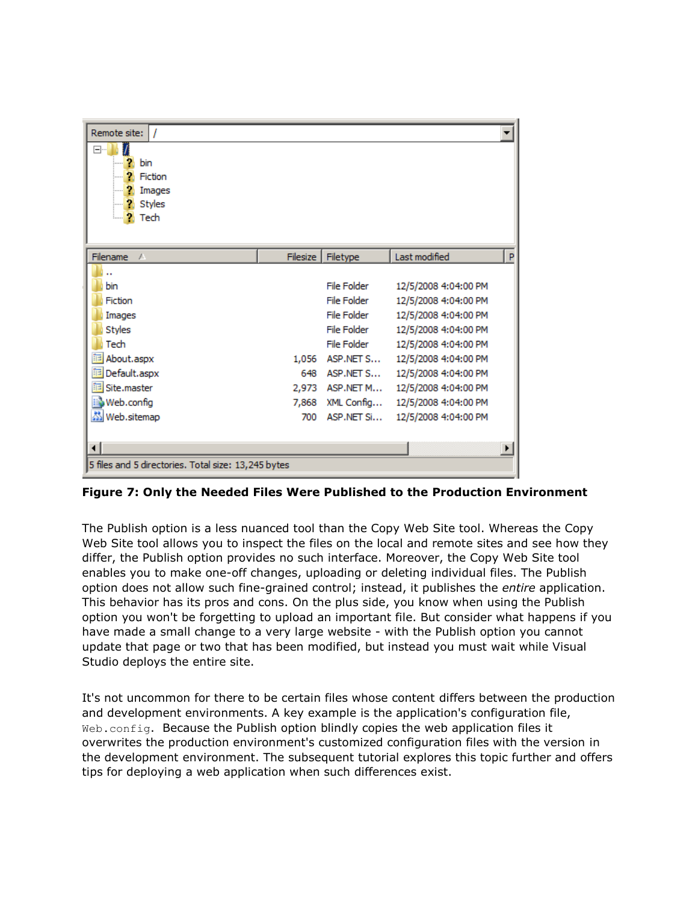| Remote site:<br>$\prime$<br>$\Box$<br>2<br>bin<br>ъ.<br>Fiction<br>в.<br>Images<br><b>P</b> Styles<br><b>P</b> Tech |          |                 |                      |   |
|---------------------------------------------------------------------------------------------------------------------|----------|-----------------|----------------------|---|
| Filename<br>$\overline{A}$                                                                                          | Filesize | Filetype        | Last modified        | P |
|                                                                                                                     |          |                 |                      |   |
| bin                                                                                                                 |          | File Folder     | 12/5/2008 4:04:00 PM |   |
| Fiction                                                                                                             |          | File Folder     | 12/5/2008 4:04:00 PM |   |
| Images                                                                                                              |          | File Folder     | 12/5/2008 4:04:00 PM |   |
| <b>Styles</b>                                                                                                       |          | File Folder     | 12/5/2008 4:04:00 PM |   |
| Tech                                                                                                                |          | File Folder     | 12/5/2008 4:04:00 PM |   |
| About.aspx                                                                                                          | 1,056    | ASP.NET S       | 12/5/2008 4:04:00 PM |   |
| ia Default.aspx                                                                                                     |          | 648 ASP.NET S   | 12/5/2008 4:04:00 PM |   |
| <b>iiii</b> Site.master                                                                                             |          | 2,973 ASP.NET M | 12/5/2008 4:04:00 PM |   |
| Web.config                                                                                                          | 7,868    | XML Config      | 12/5/2008 4:04:00 PM |   |
| Meb.sitemap                                                                                                         | 700      | ASP.NET Si      | 12/5/2008 4:04:00 PM |   |
|                                                                                                                     |          |                 |                      |   |
| ⊣                                                                                                                   |          |                 |                      |   |
| 5 files and 5 directories. Total size: 13,245 bytes                                                                 |          |                 |                      |   |

**Figure 7: Only the Needed Files Were Published to the Production Environment**

The Publish option is a less nuanced tool than the Copy Web Site tool. Whereas the Copy Web Site tool allows you to inspect the files on the local and remote sites and see how they differ, the Publish option provides no such interface. Moreover, the Copy Web Site tool enables you to make one-off changes, uploading or deleting individual files. The Publish option does not allow such fine-grained control; instead, it publishes the *entire* application. This behavior has its pros and cons. On the plus side, you know when using the Publish option you won't be forgetting to upload an important file. But consider what happens if you have made a small change to a very large website - with the Publish option you cannot update that page or two that has been modified, but instead you must wait while Visual Studio deploys the entire site.

It's not uncommon for there to be certain files whose content differs between the production and development environments. A key example is the application's configuration file, Web.config. Because the Publish option blindly copies the web application files it overwrites the production environment's customized configuration files with the version in the development environment. The subsequent tutorial explores this topic further and offers tips for deploying a web application when such differences exist.